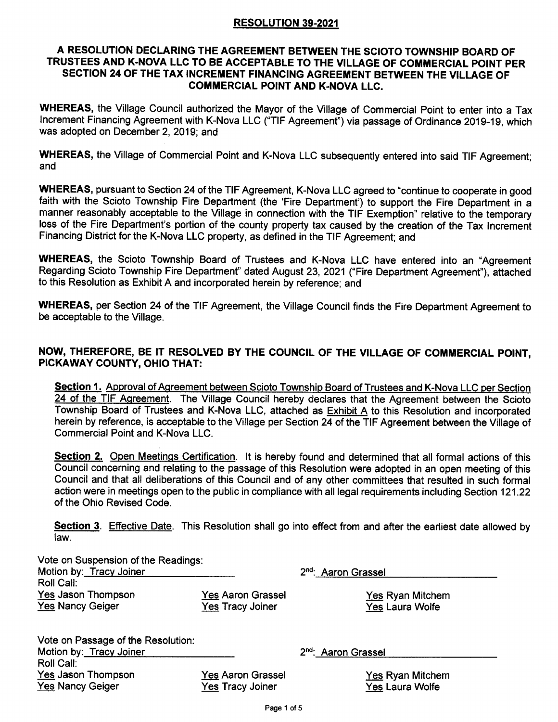#### RESOLUTION 39-2021

#### A RESOLUTION DECLARING THE AGREEMENT BETWEEN THE SCIOTO TOWNSHIP BOARD OF TRUSTEES AND K-NOVA LLG TO BE ACCEPTABLE TO THE VILLAGE OF COMMERCTAL POINT PER SECTION 24 OF THE TAX INCREMENT FINANCING AGREEMENT BETWEEN THE VILLAGE OF GOMMERCIAL POINT AND K.NOVA LLC.

WHEREAS, the Village Council authorized the Mayor of the Village of Commercial Point to enter into a Tax lncrement Financing Agreement with K-Nova LLC ("TlF Agreement") via passage of Ordinance 2019-19, which was adopted on December 2,2019; and

WHEREAS, the Village of Commercial Point and K-Nova LLC subsequently entered into said TIF Agreement; and

WHEREAS, pursuant to Section 24 of the TIF Agreement, K-Nova LLC agreed to "continue to cooperate in good faith with the Scioto Township Fire Department (the 'Fire Department') to support the Fire Department in <sup>a</sup> manner reasonably acceptable to the Village in connection with the TIF Exemption" relative to the temporary loss of the Fire Department's portion of the county property tax caused by the creation of the Tax Increment Financing District for the K-Nova LLC property, as defined in the TIF Agreement; and

WHEREAS, the Scioto Township Board of Trustees and K-Nova LLC have entered into an "Agreement Regarding Scioto Township Fire Department" dated August 23,2021("Fire Department Agreement"), attached to this Resolution as Exhibit A and incorporated herein by reference; and

WHEREAS, per Section 24 of the TIF Agreement, the Village Council finds the Fire Department Agreement to be acceptable to the Village.

#### NOW, THEREFORE, BE IT RESOLVED BY THE COUNCIL OF THE VILLAGE OF COMMERCIAL POINT, PICKAWAY COUNTY, OHIO THAT:

Section 1. Approval of Agreement between Scioto Township Board of Trustees and K-Nova LLC per Section 24 of the TIF Agreement. The Village Council hereby declares that the Agreement between the Scioto Township Board of Trustees and K-Nova LLC, attached as **Exhibit A** to this Resolution and incorporated herein by reference, is acceptable to the Village per Section 24 of the TIF Agreement between the Village of Commercial Point and K-Nova LLC.

Section 2. Open Meetings Certification. It is hereby found and determined that all formal actions of this Council concerning and relating to the passage of this Resolution were adopted in an open meeting of this Council and that all deliberations of this Council and of any other committees that resulted in such formal action were in meetings open to the public in compliance with all legal requirements including Section 121.22 of the Ohio Revised Code.

Section 3. Effective Date. This Resolution shall go into effect from and after the earliest date allowed by law.

| Vote on Suspension of the Readings: |                          |                                 |
|-------------------------------------|--------------------------|---------------------------------|
| Motion by: Tracy Joiner             |                          | 2 <sup>nd</sup> : Aaron Grassel |
| Roll Call:                          |                          |                                 |
| Yes Jason Thompson                  | <b>Yes Aaron Grassel</b> | <b>Yes Ryan Mitchem</b>         |
| <b>Yes Nancy Geiger</b>             | <b>Yes Tracy Joiner</b>  | Yes Laura Wolfe                 |
| Vote on Passage of the Resolution:  |                          |                                 |
| Motion by: Tracy Joiner             |                          | 2 <sup>nd</sup> : Aaron Grassel |
| Roll Call:                          |                          |                                 |
| Yes Jason Thompson                  | <b>Yes Aaron Grassel</b> | <b>Yes Ryan Mitchem</b>         |
| <b>Yes Nancy Geiger</b>             | <b>Yes Tracy Joiner</b>  | <b>Yes Laura Wolfe</b>          |
|                                     |                          |                                 |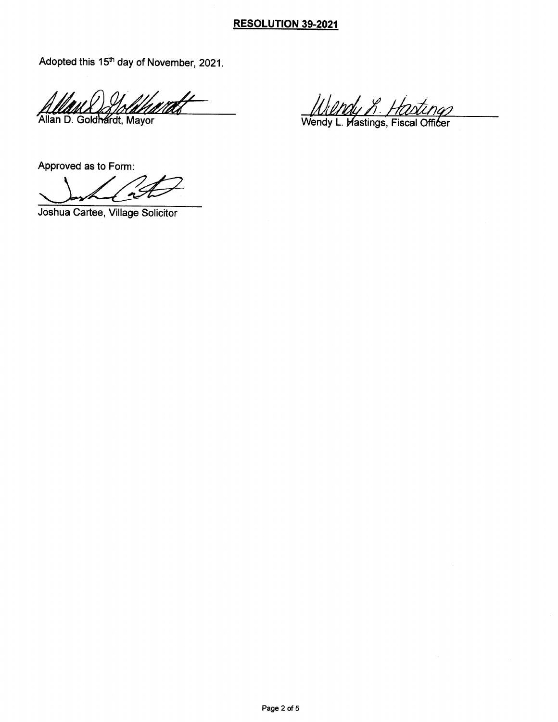### RESOLUTION 39-2021

Adopted this  $15<sup>th</sup>$  day of November, 2021.

Allan D. Goldhardt, Mayor

UlMy R. Hastings<br>Wendy L. Wastings, Fiscal Officer

Approved as to Form

Joshua Cartee, Village Solicitor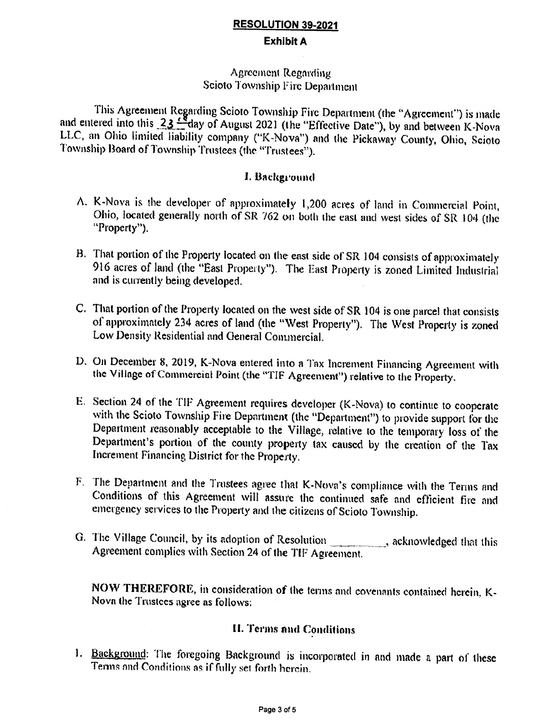# **RESOLUTION 39-2021 Exhibit A**

### **Agreement Regarding** Scioto Township Fire Department

This Agreement Regarding Scioto Township Fire Department (the "Agreement") is made and entered into this  $23 \frac{18}{100}$  day of August 2021 (the "Effective Date"), by and between K-Nova LLC, an Ohio limited liability company ("K-Nova") and the Pickaway County, Ohio, Scioto Township Board of Township Trustees (the "Trustees").

### I. Background

- A. K-Nova is the developer of approximately 1,200 acres of land in Commercial Point, Ohio, located generally north of SR 762 on both the east and west sides of SR 104 (the "Property").
- B. That portion of the Property located on the east side of SR 104 consists of approximately 916 acres of land (the "East Property"). The East Property is zoned Limited Industrial and is currently being developed.
- C. That portion of the Property located on the west side of SR 104 is one parcel that consists of approximately 234 acres of land (the "West Property"). The West Property is zoned Low Density Residential and General Commercial.
- D. On December 8, 2019, K-Nova entered into a Tax Increment Financing Agreement with the Village of Commercial Point (the "TIF Agreement") relative to the Property.
- E. Section 24 of the TIF Agreement requires developer (K-Nova) to continue to cooperate with the Scioto Township Fire Department (the "Department") to provide support for the Department reasonably acceptable to the Village, relative to the temporary loss of the Department's portion of the county property tax caused by the creation of the Tax Increment Financing District for the Property.
- F. The Department and the Trustees agree that K-Nova's compliance with the Terms and Conditions of this Agreement will assure the continued safe and efficient fire and emergency services to the Property and the citizens of Scioto Township.
- G. The Village Council, by its adoption of Resolution \_\_\_\_\_\_\_\_, acknowledged that this Agreement complies with Section 24 of the TIF Agreement.

NOW THEREFORE, in consideration of the terms and covenants contained herein, K-Nova the Trustees agree as follows:

# **II. Terms and Conditions**

1. Background: The foregoing Background is incorporated in and made a part of these Terms and Conditions as if fully set forth herein.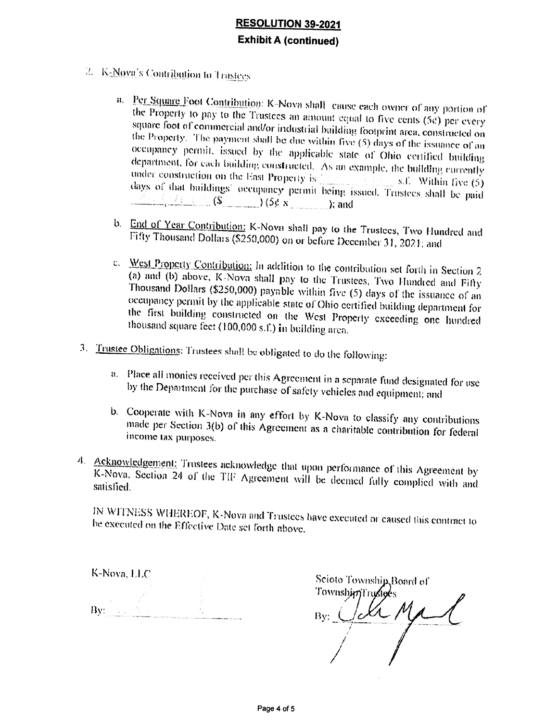# **RESOLUTION 39-2021 Exhibit A (continued)**

- 2. K-Nova's Contribution to Trustees
	- a. Per Square Foot Contribution: K-Nova shall cause each owner of any portion of the Property to pay to the Trustees an amount equal to five cents (5e) per every square foot of commercial and/or industrial building footprint area, constructed on the Property. The payment shall be due within five (5) days of the issuance of an occupancy permit, issued by the applicable state of Ohio certified building department, for each building constructed. As an example, the building currently under construction on the East Property is  $s_n$  and  $s_n$ . Within five (5) days of that buildings' occupancy permit being issued. Trustees shall be paid  $($   $\overline{\mathcal{S}}$   $($   $\overline{\mathcal{S}}$   $($   $\overline{\mathcal{S}}$   $($   $\overline{\mathcal{S}}$   $($   $\overline{\mathcal{S}}$   $($   $\overline{\mathcal{S}}$   $($   $\overline{\mathcal{S}}$   $($   $\overline{\mathcal{S}}$   $($   $\overline{\mathcal{S}}$   $($   $\overline{\mathcal{S}}$   $($   $\overline{\mathcal{S}}$   $($   $\overline{\mathcal{S}}$   $($   $\overline{\mathcal{S}}$   $($   $\overline{\mathcal{S$
	- b. End of Year Contribution: K-Nova shall pay to the Trustees, Two Hundred and Fifty Thousand Dollars (\$250,000) on or before December 31, 2021; and
	- c. West Property Contribution: In addition to the contribution set forth in Section 2 (a) and (b) above, K-Nova shall pay to the Trustees, Two Hundred and Fifty Thousand Dollars (\$250,000) payable within five (5) days of the issuance of an occupancy permit by the applicable state of Ohio certified building department for the first building constructed on the West Property exceeding one hundred thousand square feet (100,000 s.f.) in building area.
- 3. Trustee Obligations: Trustees shall be obligated to do the following:
	- a. Place all monies received per this Agreement in a separate fund designated for use by the Department for the purchase of safety vehicles and equipment; and
	- b. Cooperate with K-Nova in any effort by K-Nova to classify any contributions made per Section 3(b) of this Agreement as a charitable contribution for federal income tax purposes.
- 4. Acknowledgement: Trustees acknowledge that upon performance of this Agreement by K-Nova, Section 24 of the TIF Agreement will be deemed fully complied with and satisfied.

IN WITNESS WHEREOF, K-Nova and Trustees have executed or caused this contract to be executed on the Effective Date set forth above.

K-Nova, LLC  $\overline{\mathrm{Bv}}_1$  , the set of  $\overline{\mathrm{Bv}}_2$ 

Scioto Township, Board of TownshimTrustees Ide Ma